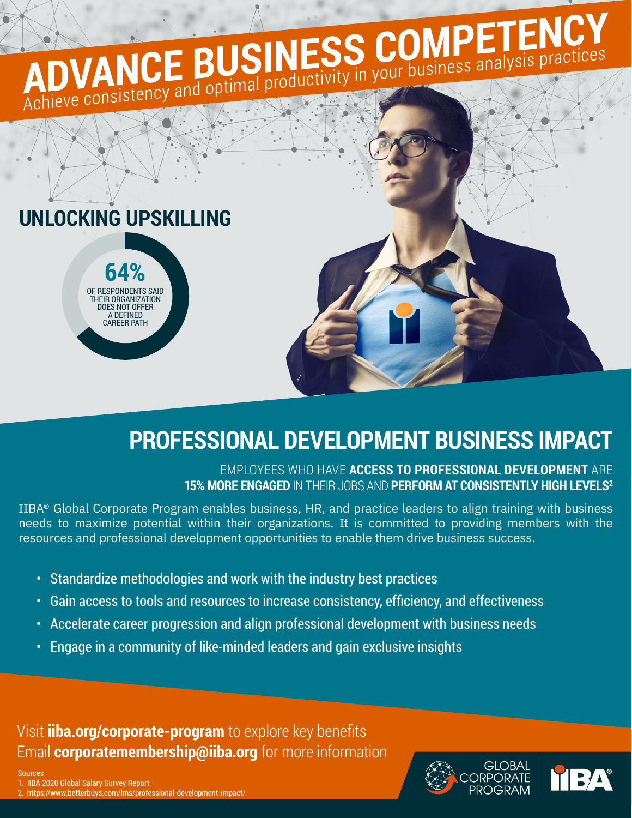## ADVANCE BUSINESS COMPETENCY **UNLOCKING UPSKILLING 64%**

## **PROFESSIONAL DEVELOPMENT BUSINESS IMPACT**

EMPLOYEES WHO HAVE **ACCESS TO PROFESSIONAL DEVELOPMENT** ARE **15% MORE ENGAGED** IN THEIR JOBS AND **PERFORM AT CONSISTENTLY HIGH LEVELS2**

IIBA® Global Corporate Program enables business, HR, and practice leaders to align training with business needs to maximize potential within their organizations. It is committed to providing members with the resources and professional development opportunities to enable them drive business success.

- Standardize methodologies and work with the industry best practices
- Gain access to tools and resources to increase consistency, efficiency, and effectiveness
- Accelerate career progression and align professional development with business needs
- Engage in a community of like-minded leaders and gain exclusive insights

Email **[corporatemembership@iiba.org](mailto:corporatemembership%40iiba.org?subject=)** for more information Visit **[iiba.org/corporate-program](https://www.iiba.org/membership/corporate-program)** to explore key benefits

OF RESPONDE THEIR ORGANIZATION DOES NOT OFFER A DEFINED CAREER PATH